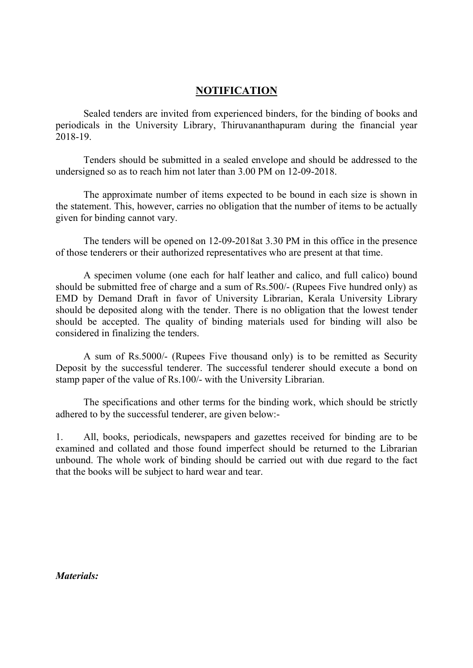## NOTIFICATION

 Sealed tenders are invited from experienced binders, for the binding of books and periodicals in the University Library, Thiruvananthapuram during the financial year 2018-19.

 Tenders should be submitted in a sealed envelope and should be addressed to the undersigned so as to reach him not later than 3.00 PM on 12-09-2018.

 The approximate number of items expected to be bound in each size is shown in the statement. This, however, carries no obligation that the number of items to be actually given for binding cannot vary.

 The tenders will be opened on 12-09-2018at 3.30 PM in this office in the presence of those tenderers or their authorized representatives who are present at that time.

 A specimen volume (one each for half leather and calico, and full calico) bound should be submitted free of charge and a sum of Rs.500/- (Rupees Five hundred only) as EMD by Demand Draft in favor of University Librarian, Kerala University Library should be deposited along with the tender. There is no obligation that the lowest tender should be accepted. The quality of binding materials used for binding will also be considered in finalizing the tenders.

 A sum of Rs.5000/- (Rupees Five thousand only) is to be remitted as Security Deposit by the successful tenderer. The successful tenderer should execute a bond on stamp paper of the value of Rs.100/- with the University Librarian.

 The specifications and other terms for the binding work, which should be strictly adhered to by the successful tenderer, are given below:-

1. All, books, periodicals, newspapers and gazettes received for binding are to be examined and collated and those found imperfect should be returned to the Librarian unbound. The whole work of binding should be carried out with due regard to the fact that the books will be subject to hard wear and tear.

Materials: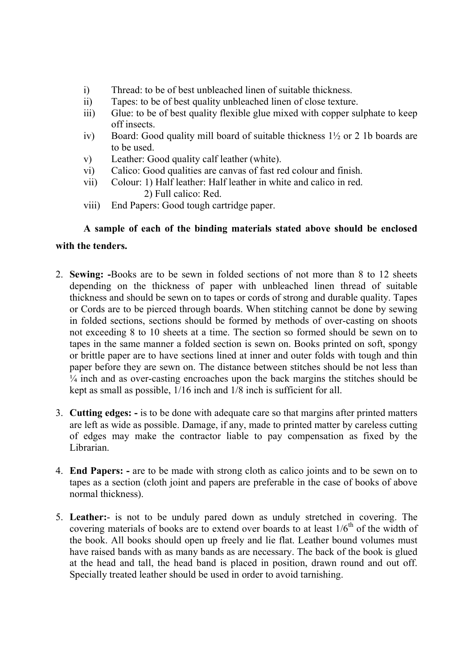- i) Thread: to be of best unbleached linen of suitable thickness.
- ii) Tapes: to be of best quality unbleached linen of close texture.
- iii) Glue: to be of best quality flexible glue mixed with copper sulphate to keep off insects.
- iv) Board: Good quality mill board of suitable thickness 1½ or 2 1b boards are to be used.
- v) Leather: Good quality calf leather (white).
- vi) Calico: Good qualities are canvas of fast red colour and finish.
- vii) Colour: 1) Half leather: Half leather in white and calico in red. 2) Full calico: Red.
- viii) End Papers: Good tough cartridge paper.

## A sample of each of the binding materials stated above should be enclosed

## with the tenders.

- 2. Sewing: -Books are to be sewn in folded sections of not more than 8 to 12 sheets depending on the thickness of paper with unbleached linen thread of suitable thickness and should be sewn on to tapes or cords of strong and durable quality. Tapes or Cords are to be pierced through boards. When stitching cannot be done by sewing in folded sections, sections should be formed by methods of over-casting on shoots not exceeding 8 to 10 sheets at a time. The section so formed should be sewn on to tapes in the same manner a folded section is sewn on. Books printed on soft, spongy or brittle paper are to have sections lined at inner and outer folds with tough and thin paper before they are sewn on. The distance between stitches should be not less than  $\frac{1}{4}$  inch and as over-casting encroaches upon the back margins the stitches should be kept as small as possible, 1/16 inch and 1/8 inch is sufficient for all.
- 3. Cutting edges: is to be done with adequate care so that margins after printed matters are left as wide as possible. Damage, if any, made to printed matter by careless cutting of edges may make the contractor liable to pay compensation as fixed by the Librarian.
- 4. End Papers: are to be made with strong cloth as calico joints and to be sewn on to tapes as a section (cloth joint and papers are preferable in the case of books of above normal thickness).
- 5. Leather:- is not to be unduly pared down as unduly stretched in covering. The covering materials of books are to extend over boards to at least  $1/6<sup>th</sup>$  of the width of the book. All books should open up freely and lie flat. Leather bound volumes must have raised bands with as many bands as are necessary. The back of the book is glued at the head and tall, the head band is placed in position, drawn round and out off. Specially treated leather should be used in order to avoid tarnishing.